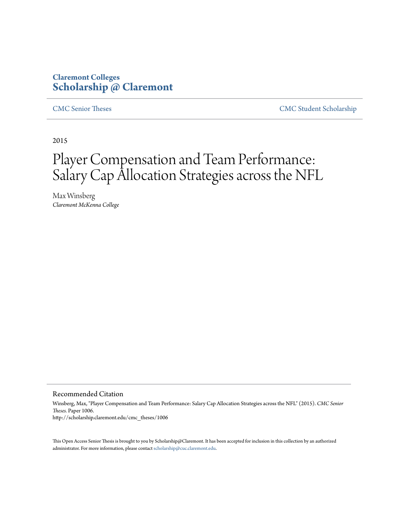# **Claremont Colleges [Scholarship @ Claremont](http://scholarship.claremont.edu)**

[CMC Senior Theses](http://scholarship.claremont.edu/cmc_theses) [CMC Student Scholarship](http://scholarship.claremont.edu/cmc_student)

2015

# Player Compensation and Team Performance: Salary Cap Allocation Strategies across the NFL

Max Winsberg *Claremont McKenna College*

Recommended Citation

Winsberg, Max, "Player Compensation and Team Performance: Salary Cap Allocation Strategies across the NFL" (2015). *CMC Senior Theses.* Paper 1006. http://scholarship.claremont.edu/cmc\_theses/1006

This Open Access Senior Thesis is brought to you by Scholarship@Claremont. It has been accepted for inclusion in this collection by an authorized administrator. For more information, please contact [scholarship@cuc.claremont.edu.](mailto:scholarship@cuc.claremont.edu)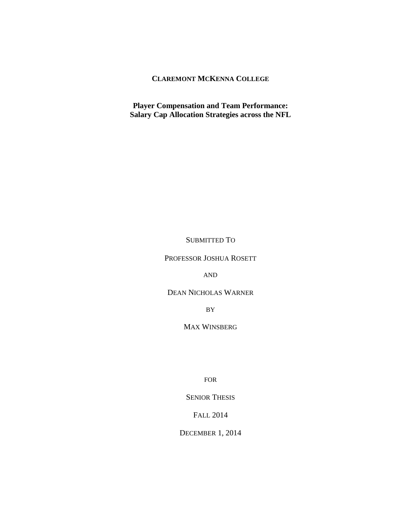# **CLAREMONT MCKENNA COLLEGE**

**Player Compensation and Team Performance: Salary Cap Allocation Strategies across the NFL**

SUBMITTED TO

PROFESSOR JOSHUA ROSETT

AND

DEAN NICHOLAS WARNER

BY

MAX WINSBERG

FOR

SENIOR THESIS

FALL 2014

DECEMBER 1, 2014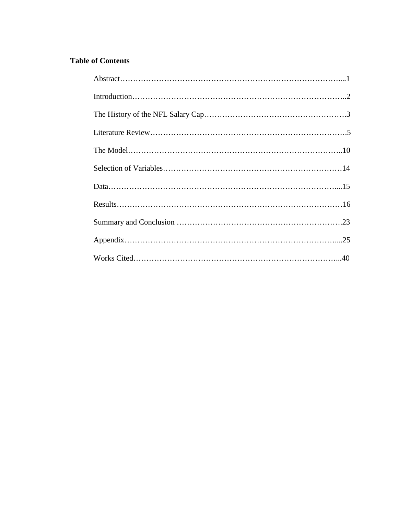# **Table of Contents**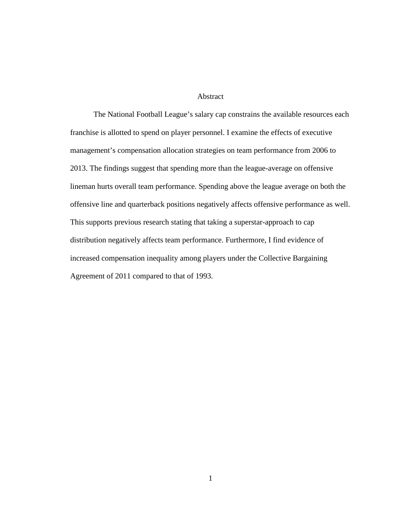#### Abstract

The National Football League's salary cap constrains the available resources each franchise is allotted to spend on player personnel. I examine the effects of executive management's compensation allocation strategies on team performance from 2006 to 2013. The findings suggest that spending more than the league-average on offensive lineman hurts overall team performance. Spending above the league average on both the offensive line and quarterback positions negatively affects offensive performance as well. This supports previous research stating that taking a superstar-approach to cap distribution negatively affects team performance. Furthermore, I find evidence of increased compensation inequality among players under the Collective Bargaining Agreement of 2011 compared to that of 1993.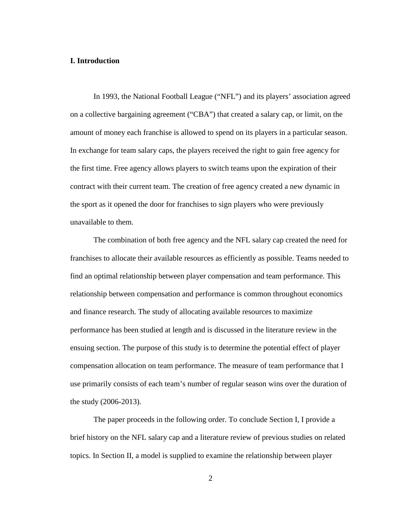## **I. Introduction**

In 1993, the National Football League ("NFL") and its players' association agreed on a collective bargaining agreement ("CBA") that created a salary cap, or limit, on the amount of money each franchise is allowed to spend on its players in a particular season. In exchange for team salary caps, the players received the right to gain free agency for the first time. Free agency allows players to switch teams upon the expiration of their contract with their current team. The creation of free agency created a new dynamic in the sport as it opened the door for franchises to sign players who were previously unavailable to them.

The combination of both free agency and the NFL salary cap created the need for franchises to allocate their available resources as efficiently as possible. Teams needed to find an optimal relationship between player compensation and team performance. This relationship between compensation and performance is common throughout economics and finance research. The study of allocating available resources to maximize performance has been studied at length and is discussed in the literature review in the ensuing section. The purpose of this study is to determine the potential effect of player compensation allocation on team performance. The measure of team performance that I use primarily consists of each team's number of regular season wins over the duration of the study (2006-2013).

The paper proceeds in the following order. To conclude Section I, I provide a brief history on the NFL salary cap and a literature review of previous studies on related topics. In Section II, a model is supplied to examine the relationship between player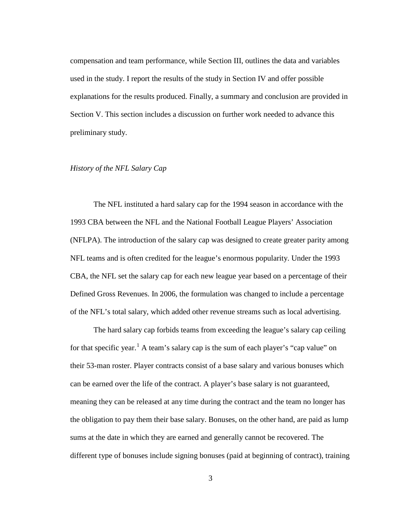compensation and team performance, while Section III, outlines the data and variables used in the study. I report the results of the study in Section IV and offer possible explanations for the results produced. Finally, a summary and conclusion are provided in Section V. This section includes a discussion on further work needed to advance this preliminary study.

#### *History of the NFL Salary Cap*

The NFL instituted a hard salary cap for the 1994 season in accordance with the 1993 CBA between the NFL and the National Football League Players' Association (NFLPA). The introduction of the salary cap was designed to create greater parity among NFL teams and is often credited for the league's enormous popularity. Under the 1993 CBA, the NFL set the salary cap for each new league year based on a percentage of their Defined Gross Revenues. In 2006, the formulation was changed to include a percentage of the NFL's total salary, which added other revenue streams such as local advertising.

The hard salary cap forbids teams from exceeding the league's salary cap ceiling for that specific year.<sup>[1](#page-44-0)</sup> A team's salary cap is the sum of each player's "cap value" on their 53-man roster. Player contracts consist of a base salary and various bonuses which can be earned over the life of the contract. A player's base salary is not guaranteed, meaning they can be released at any time during the contract and the team no longer has the obligation to pay them their base salary. Bonuses, on the other hand, are paid as lump sums at the date in which they are earned and generally cannot be recovered. The different type of bonuses include signing bonuses (paid at beginning of contract), training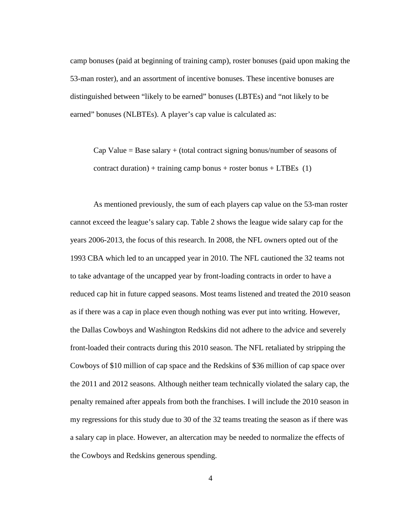camp bonuses (paid at beginning of training camp), roster bonuses (paid upon making the 53-man roster), and an assortment of incentive bonuses. These incentive bonuses are distinguished between "likely to be earned" bonuses (LBTEs) and "not likely to be earned" bonuses (NLBTEs). A player's cap value is calculated as:

Cap Value  $=$  Base salary  $+$  (total contract signing bonus/number of seasons of contract duration) + training camp bonus + roster bonus + LTBEs  $(1)$ 

As mentioned previously, the sum of each players cap value on the 53-man roster cannot exceed the league's salary cap. Table 2 shows the league wide salary cap for the years 2006-2013, the focus of this research. In 2008, the NFL owners opted out of the 1993 CBA which led to an uncapped year in 2010. The NFL cautioned the 32 teams not to take advantage of the uncapped year by front-loading contracts in order to have a reduced cap hit in future capped seasons. Most teams listened and treated the 2010 season as if there was a cap in place even though nothing was ever put into writing. However, the Dallas Cowboys and Washington Redskins did not adhere to the advice and severely front-loaded their contracts during this 2010 season. The NFL retaliated by stripping the Cowboys of \$10 million of cap space and the Redskins of \$36 million of cap space over the 2011 and 2012 seasons. Although neither team technically violated the salary cap, the penalty remained after appeals from both the franchises. I will include the 2010 season in my regressions for this study due to 30 of the 32 teams treating the season as if there was a salary cap in place. However, an altercation may be needed to normalize the effects of the Cowboys and Redskins generous spending.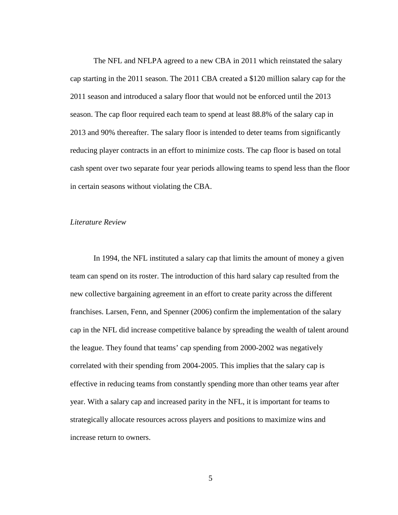The NFL and NFLPA agreed to a new CBA in 2011 which reinstated the salary cap starting in the 2011 season. The 2011 CBA created a \$120 million salary cap for the 2011 season and introduced a salary floor that would not be enforced until the 2013 season. The cap floor required each team to spend at least 88.8% of the salary cap in 2013 and 90% thereafter. The salary floor is intended to deter teams from significantly reducing player contracts in an effort to minimize costs. The cap floor is based on total cash spent over two separate four year periods allowing teams to spend less than the floor in certain seasons without violating the CBA.

## *Literature Review*

In 1994, the NFL instituted a salary cap that limits the amount of money a given team can spend on its roster. The introduction of this hard salary cap resulted from the new collective bargaining agreement in an effort to create parity across the different franchises. Larsen, Fenn, and Spenner (2006) confirm the implementation of the salary cap in the NFL did increase competitive balance by spreading the wealth of talent around the league. They found that teams' cap spending from 2000-2002 was negatively correlated with their spending from 2004-2005. This implies that the salary cap is effective in reducing teams from constantly spending more than other teams year after year. With a salary cap and increased parity in the NFL, it is important for teams to strategically allocate resources across players and positions to maximize wins and increase return to owners.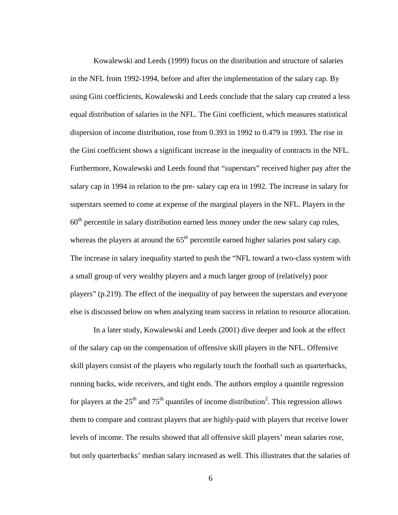Kowalewski and Leeds (1999) focus on the distribution and structure of salaries in the NFL from 1992-1994, before and after the implementation of the salary cap. By using Gini coefficients, Kowalewski and Leeds conclude that the salary cap created a less equal distribution of salaries in the NFL. The Gini coefficient, which measures statistical dispersion of income distribution, rose from 0.393 in 1992 to 0.479 in 1993. The rise in the Gini coefficient shows a significant increase in the inequality of contracts in the NFL. Furthermore, Kowalewski and Leeds found that "superstars" received higher pay after the salary cap in 1994 in relation to the pre- salary cap era in 1992. The increase in salary for superstars seemed to come at expense of the marginal players in the NFL. Players in the  $60<sup>th</sup>$  percentile in salary distribution earned less money under the new salary cap rules, whereas the players at around the  $65<sup>th</sup>$  percentile earned higher salaries post salary cap. The increase in salary inequality started to push the "NFL toward a two-class system with a small group of very wealthy players and a much larger group of (relatively) poor players" (p.219). The effect of the inequality of pay between the superstars and everyone else is discussed below on when analyzing team success in relation to resource allocation.

In a later study, Kowalewski and Leeds (2001) dive deeper and look at the effect of the salary cap on the compensation of offensive skill players in the NFL. Offensive skill players consist of the players who regularly touch the football such as quarterbacks, running backs, wide receivers, and tight ends. The authors employ a quantile regression for players at the  $25<sup>th</sup>$  $25<sup>th</sup>$  and  $75<sup>th</sup>$  quantiles of income distribution<sup>2</sup>. This regression allows them to compare and contrast players that are highly-paid with players that receive lower levels of income. The results showed that all offensive skill players' mean salaries rose, but only quarterbacks' median salary increased as well. This illustrates that the salaries of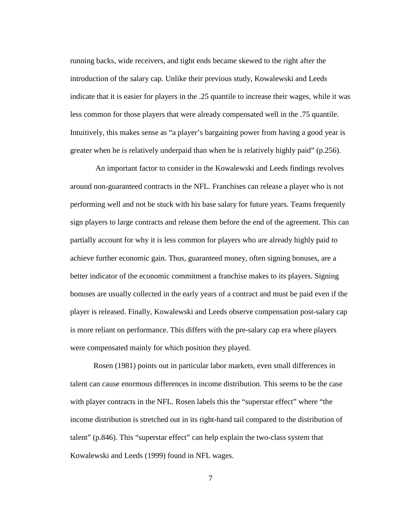running backs, wide receivers, and tight ends became skewed to the right after the introduction of the salary cap. Unlike their previous study, Kowalewski and Leeds indicate that it is easier for players in the .25 quantile to increase their wages, while it was less common for those players that were already compensated well in the .75 quantile. Intuitively, this makes sense as "a player's bargaining power from having a good year is greater when he is relatively underpaid than when he is relatively highly paid" (p.256).

An important factor to consider in the Kowalewski and Leeds findings revolves around non-guaranteed contracts in the NFL. Franchises can release a player who is not performing well and not be stuck with his base salary for future years. Teams frequently sign players to large contracts and release them before the end of the agreement. This can partially account for why it is less common for players who are already highly paid to achieve further economic gain. Thus, guaranteed money, often signing bonuses, are a better indicator of the economic commitment a franchise makes to its players. Signing bonuses are usually collected in the early years of a contract and must be paid even if the player is released. Finally, Kowalewski and Leeds observe compensation post-salary cap is more reliant on performance. This differs with the pre-salary cap era where players were compensated mainly for which position they played.

Rosen (1981) points out in particular labor markets, even small differences in talent can cause enormous differences in income distribution. This seems to be the case with player contracts in the NFL. Rosen labels this the "superstar effect" where "the income distribution is stretched out in its right-hand tail compared to the distribution of talent" (p.846). This "superstar effect" can help explain the two-class system that Kowalewski and Leeds (1999) found in NFL wages.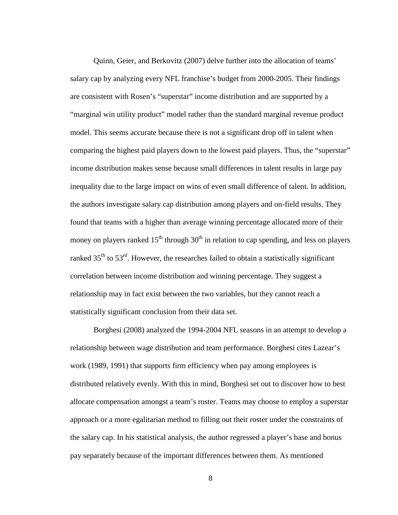Quinn, Geier, and Berkovitz (2007) delve further into the allocation of teams' salary cap by analyzing every NFL franchise's budget from 2000-2005. Their findings are consistent with Rosen's "superstar" income distribution and are supported by a "marginal win utility product" model rather than the standard marginal revenue product model. This seems accurate because there is not a significant drop off in talent when comparing the highest paid players down to the lowest paid players. Thus, the "superstar" income distribution makes sense because small differences in talent results in large pay inequality due to the large impact on wins of even small difference of talent. In addition, the authors investigate salary cap distribution among players and on-field results. They found that teams with a higher than average winning percentage allocated more of their money on players ranked  $15<sup>th</sup>$  through  $30<sup>th</sup>$  in relation to cap spending, and less on players ranked  $35<sup>th</sup>$  to  $53<sup>rd</sup>$ . However, the researches failed to obtain a statistically significant correlation between income distribution and winning percentage. They suggest a relationship may in fact exist between the two variables, but they cannot reach a statistically significant conclusion from their data set.

Borghesi (2008) analyzed the 1994-2004 NFL seasons in an attempt to develop a relationship between wage distribution and team performance. Borghesi cites Lazear's work (1989, 1991) that supports firm efficiency when pay among employees is distributed relatively evenly. With this in mind, Borghesi set out to discover how to best allocate compensation amongst a team's roster. Teams may choose to employ a superstar approach or a more egalitarian method to filling out their roster under the constraints of the salary cap. In his statistical analysis, the author regressed a player's base and bonus pay separately because of the important differences between them. As mentioned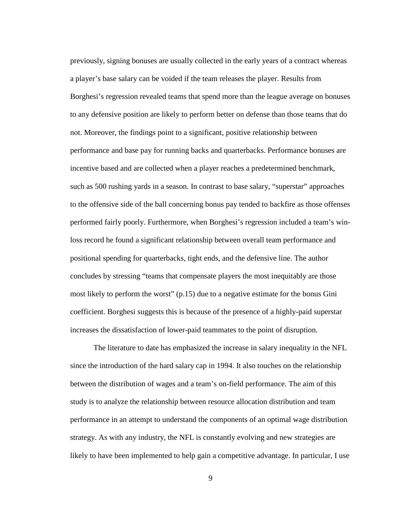previously, signing bonuses are usually collected in the early years of a contract whereas a player's base salary can be voided if the team releases the player. Results from Borghesi's regression revealed teams that spend more than the league average on bonuses to any defensive position are likely to perform better on defense than those teams that do not. Moreover, the findings point to a significant, positive relationship between performance and base pay for running backs and quarterbacks. Performance bonuses are incentive based and are collected when a player reaches a predetermined benchmark, such as 500 rushing yards in a season. In contrast to base salary, "superstar" approaches to the offensive side of the ball concerning bonus pay tended to backfire as those offenses performed fairly poorly. Furthermore, when Borghesi's regression included a team's winloss record he found a significant relationship between overall team performance and positional spending for quarterbacks, tight ends, and the defensive line. The author concludes by stressing "teams that compensate players the most inequitably are those most likely to perform the worst" (p.15) due to a negative estimate for the bonus Gini coefficient. Borghesi suggests this is because of the presence of a highly-paid superstar increases the dissatisfaction of lower-paid teammates to the point of disruption.

The literature to date has emphasized the increase in salary inequality in the NFL since the introduction of the hard salary cap in 1994. It also touches on the relationship between the distribution of wages and a team's on-field performance. The aim of this study is to analyze the relationship between resource allocation distribution and team performance in an attempt to understand the components of an optimal wage distribution strategy. As with any industry, the NFL is constantly evolving and new strategies are likely to have been implemented to help gain a competitive advantage. In particular, I use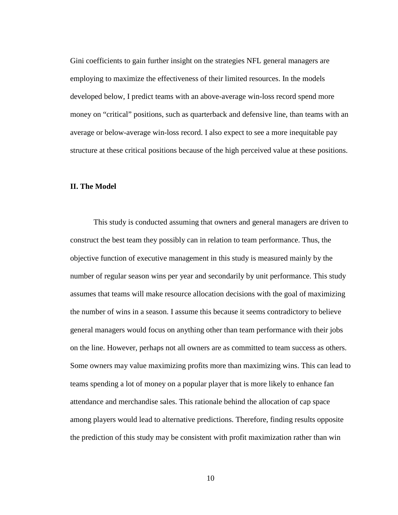Gini coefficients to gain further insight on the strategies NFL general managers are employing to maximize the effectiveness of their limited resources. In the models developed below, I predict teams with an above-average win-loss record spend more money on "critical" positions, such as quarterback and defensive line, than teams with an average or below-average win-loss record. I also expect to see a more inequitable pay structure at these critical positions because of the high perceived value at these positions.

#### **II. The Model**

This study is conducted assuming that owners and general managers are driven to construct the best team they possibly can in relation to team performance. Thus, the objective function of executive management in this study is measured mainly by the number of regular season wins per year and secondarily by unit performance. This study assumes that teams will make resource allocation decisions with the goal of maximizing the number of wins in a season. I assume this because it seems contradictory to believe general managers would focus on anything other than team performance with their jobs on the line. However, perhaps not all owners are as committed to team success as others. Some owners may value maximizing profits more than maximizing wins. This can lead to teams spending a lot of money on a popular player that is more likely to enhance fan attendance and merchandise sales. This rationale behind the allocation of cap space among players would lead to alternative predictions. Therefore, finding results opposite the prediction of this study may be consistent with profit maximization rather than win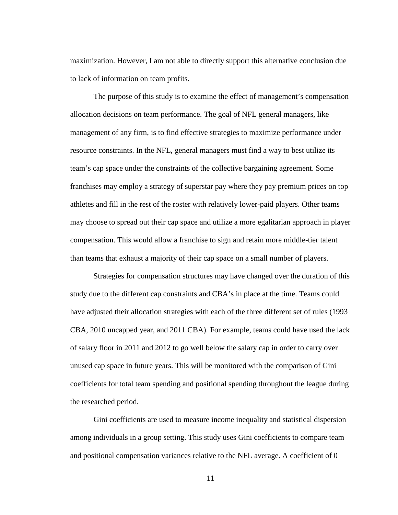maximization. However, I am not able to directly support this alternative conclusion due to lack of information on team profits.

The purpose of this study is to examine the effect of management's compensation allocation decisions on team performance. The goal of NFL general managers, like management of any firm, is to find effective strategies to maximize performance under resource constraints. In the NFL, general managers must find a way to best utilize its team's cap space under the constraints of the collective bargaining agreement. Some franchises may employ a strategy of superstar pay where they pay premium prices on top athletes and fill in the rest of the roster with relatively lower-paid players. Other teams may choose to spread out their cap space and utilize a more egalitarian approach in player compensation. This would allow a franchise to sign and retain more middle-tier talent than teams that exhaust a majority of their cap space on a small number of players.

Strategies for compensation structures may have changed over the duration of this study due to the different cap constraints and CBA's in place at the time. Teams could have adjusted their allocation strategies with each of the three different set of rules (1993 CBA, 2010 uncapped year, and 2011 CBA). For example, teams could have used the lack of salary floor in 2011 and 2012 to go well below the salary cap in order to carry over unused cap space in future years. This will be monitored with the comparison of Gini coefficients for total team spending and positional spending throughout the league during the researched period.

Gini coefficients are used to measure income inequality and statistical dispersion among individuals in a group setting. This study uses Gini coefficients to compare team and positional compensation variances relative to the NFL average. A coefficient of 0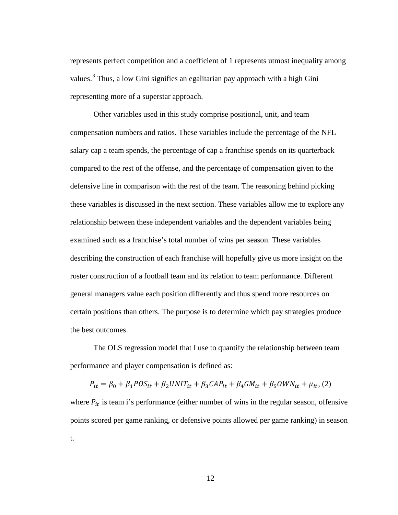represents perfect competition and a coefficient of 1 represents utmost inequality among values.<sup>[3](#page-44-2)</sup> Thus, a low Gini signifies an egalitarian pay approach with a high Gini representing more of a superstar approach.

Other variables used in this study comprise positional, unit, and team compensation numbers and ratios. These variables include the percentage of the NFL salary cap a team spends, the percentage of cap a franchise spends on its quarterback compared to the rest of the offense, and the percentage of compensation given to the defensive line in comparison with the rest of the team. The reasoning behind picking these variables is discussed in the next section. These variables allow me to explore any relationship between these independent variables and the dependent variables being examined such as a franchise's total number of wins per season. These variables describing the construction of each franchise will hopefully give us more insight on the roster construction of a football team and its relation to team performance. Different general managers value each position differently and thus spend more resources on certain positions than others. The purpose is to determine which pay strategies produce the best outcomes.

The OLS regression model that I use to quantify the relationship between team performance and player compensation is defined as:

 $P_{it} = \beta_0 + \beta_1 POS_{it} + \beta_2UNIT_{it} + \beta_3CAP_{it} + \beta_4GM_{it} + \beta_5OWN_{it} + \mu_{it}, (2)$ 

where  $P_{it}$  is team i's performance (either number of wins in the regular season, offensive points scored per game ranking, or defensive points allowed per game ranking) in season t.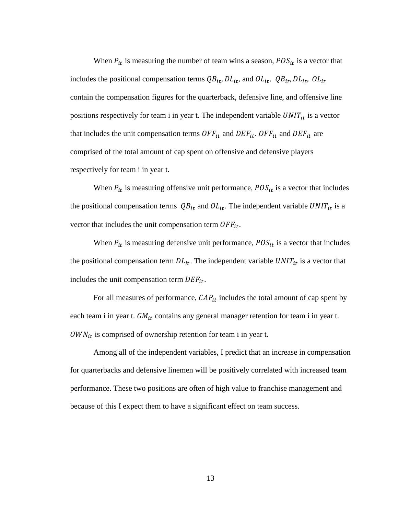When  $P_{it}$  is measuring the number of team wins a season,  $POS_{it}$  is a vector that includes the positional compensation terms  $QB_{it}$ ,  $DL_{it}$ , and  $OL_{it}$ .  $QB_{it}$ ,  $DL_{it}$ ,  $OL_{it}$ contain the compensation figures for the quarterback, defensive line, and offensive line positions respectively for team i in year t. The independent variable  $UNIT_{it}$  is a vector that includes the unit compensation terms  $OFF_{it}$  and  $DEF_{it}$ .  $OFF_{it}$  and  $DEF_{it}$  are comprised of the total amount of cap spent on offensive and defensive players respectively for team i in year t.

When  $P_{it}$  is measuring offensive unit performance,  $POS_{it}$  is a vector that includes the positional compensation terms  $QB_{it}$  and  $OL_{it}$ . The independent variable  $UNIT_{it}$  is a vector that includes the unit compensation term  $OFF_{it}$ .

When  $P_{it}$  is measuring defensive unit performance,  $POS_{it}$  is a vector that includes the positional compensation term  $DL_{it}$ . The independent variable  $UNIT_{it}$  is a vector that includes the unit compensation term  $DEF_{it}$ .

For all measures of performance,  $CAP_{it}$  includes the total amount of cap spent by each team i in year t.  $GM_{it}$  contains any general manager retention for team i in year t.  $OWN_{it}$  is comprised of ownership retention for team i in year t.

Among all of the independent variables, I predict that an increase in compensation for quarterbacks and defensive linemen will be positively correlated with increased team performance. These two positions are often of high value to franchise management and because of this I expect them to have a significant effect on team success.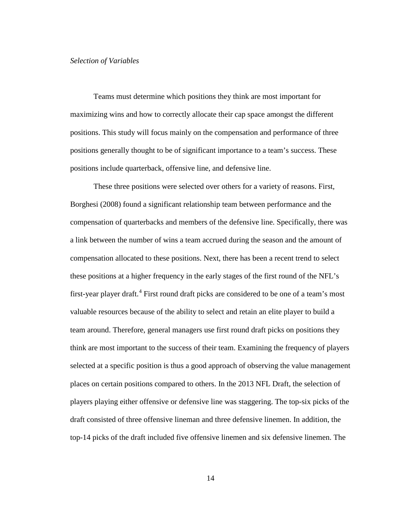#### *Selection of Variables*

Teams must determine which positions they think are most important for maximizing wins and how to correctly allocate their cap space amongst the different positions. This study will focus mainly on the compensation and performance of three positions generally thought to be of significant importance to a team's success. These positions include quarterback, offensive line, and defensive line.

These three positions were selected over others for a variety of reasons. First, Borghesi (2008) found a significant relationship team between performance and the compensation of quarterbacks and members of the defensive line. Specifically, there was a link between the number of wins a team accrued during the season and the amount of compensation allocated to these positions. Next, there has been a recent trend to select these positions at a higher frequency in the early stages of the first round of the NFL's first-year player draft.<sup>[4](#page-44-3)</sup> First round draft picks are considered to be one of a team's most valuable resources because of the ability to select and retain an elite player to build a team around. Therefore, general managers use first round draft picks on positions they think are most important to the success of their team. Examining the frequency of players selected at a specific position is thus a good approach of observing the value management places on certain positions compared to others. In the 2013 NFL Draft, the selection of players playing either offensive or defensive line was staggering. The top-six picks of the draft consisted of three offensive lineman and three defensive linemen. In addition, the top-14 picks of the draft included five offensive linemen and six defensive linemen. The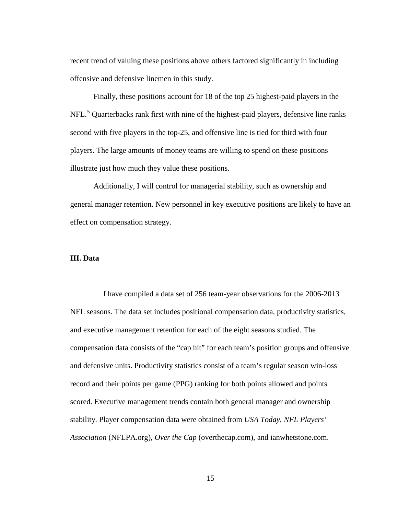recent trend of valuing these positions above others factored significantly in including offensive and defensive linemen in this study.

Finally, these positions account for 18 of the top 25 highest-paid players in the NFL.<sup>[5](#page-44-4)</sup> Quarterbacks rank first with nine of the highest-paid players, defensive line ranks second with five players in the top-25, and offensive line is tied for third with four players. The large amounts of money teams are willing to spend on these positions illustrate just how much they value these positions.

Additionally, I will control for managerial stability, such as ownership and general manager retention. New personnel in key executive positions are likely to have an effect on compensation strategy.

## **III. Data**

 I have compiled a data set of 256 team-year observations for the 2006-2013 NFL seasons. The data set includes positional compensation data, productivity statistics, and executive management retention for each of the eight seasons studied. The compensation data consists of the "cap hit" for each team's position groups and offensive and defensive units. Productivity statistics consist of a team's regular season win-loss record and their points per game (PPG) ranking for both points allowed and points scored. Executive management trends contain both general manager and ownership stability. Player compensation data were obtained from *USA Today*, *NFL Players' Association* (NFLPA.org), *Over the Cap* (overthecap.com), and ianwhetstone.com.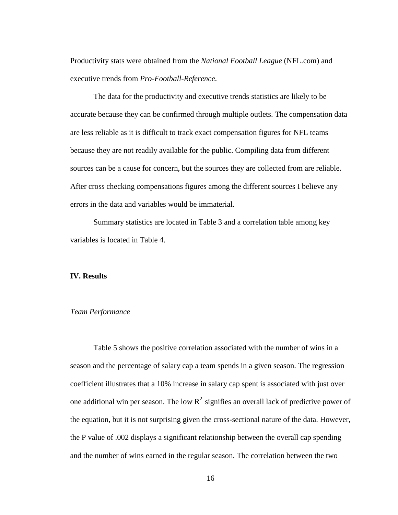Productivity stats were obtained from the *National Football League* (NFL.com) and executive trends from *Pro-Football-Reference*.

The data for the productivity and executive trends statistics are likely to be accurate because they can be confirmed through multiple outlets. The compensation data are less reliable as it is difficult to track exact compensation figures for NFL teams because they are not readily available for the public. Compiling data from different sources can be a cause for concern, but the sources they are collected from are reliable. After cross checking compensations figures among the different sources I believe any errors in the data and variables would be immaterial.

Summary statistics are located in Table 3 and a correlation table among key variables is located in Table 4.

## **IV. Results**

#### *Team Performance*

Table 5 shows the positive correlation associated with the number of wins in a season and the percentage of salary cap a team spends in a given season. The regression coefficient illustrates that a 10% increase in salary cap spent is associated with just over one additional win per season. The low  $R^2$  signifies an overall lack of predictive power of the equation, but it is not surprising given the cross-sectional nature of the data. However, the P value of .002 displays a significant relationship between the overall cap spending and the number of wins earned in the regular season. The correlation between the two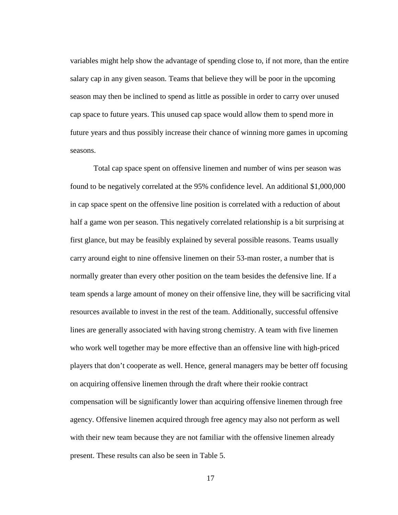variables might help show the advantage of spending close to, if not more, than the entire salary cap in any given season. Teams that believe they will be poor in the upcoming season may then be inclined to spend as little as possible in order to carry over unused cap space to future years. This unused cap space would allow them to spend more in future years and thus possibly increase their chance of winning more games in upcoming seasons.

Total cap space spent on offensive linemen and number of wins per season was found to be negatively correlated at the 95% confidence level. An additional \$1,000,000 in cap space spent on the offensive line position is correlated with a reduction of about half a game won per season. This negatively correlated relationship is a bit surprising at first glance, but may be feasibly explained by several possible reasons. Teams usually carry around eight to nine offensive linemen on their 53-man roster, a number that is normally greater than every other position on the team besides the defensive line. If a team spends a large amount of money on their offensive line, they will be sacrificing vital resources available to invest in the rest of the team. Additionally, successful offensive lines are generally associated with having strong chemistry. A team with five linemen who work well together may be more effective than an offensive line with high-priced players that don't cooperate as well. Hence, general managers may be better off focusing on acquiring offensive linemen through the draft where their rookie contract compensation will be significantly lower than acquiring offensive linemen through free agency. Offensive linemen acquired through free agency may also not perform as well with their new team because they are not familiar with the offensive linemen already present. These results can also be seen in Table 5.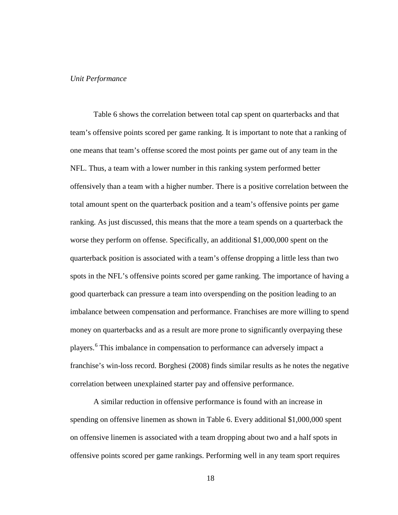#### *Unit Performance*

Table 6 shows the correlation between total cap spent on quarterbacks and that team's offensive points scored per game ranking. It is important to note that a ranking of one means that team's offense scored the most points per game out of any team in the NFL. Thus, a team with a lower number in this ranking system performed better offensively than a team with a higher number. There is a positive correlation between the total amount spent on the quarterback position and a team's offensive points per game ranking. As just discussed, this means that the more a team spends on a quarterback the worse they perform on offense. Specifically, an additional \$1,000,000 spent on the quarterback position is associated with a team's offense dropping a little less than two spots in the NFL's offensive points scored per game ranking. The importance of having a good quarterback can pressure a team into overspending on the position leading to an imbalance between compensation and performance. Franchises are more willing to spend money on quarterbacks and as a result are more prone to significantly overpaying these players.[6](#page-44-5) This imbalance in compensation to performance can adversely impact a franchise's win-loss record. Borghesi (2008) finds similar results as he notes the negative correlation between unexplained starter pay and offensive performance.

A similar reduction in offensive performance is found with an increase in spending on offensive linemen as shown in Table 6. Every additional \$1,000,000 spent on offensive linemen is associated with a team dropping about two and a half spots in offensive points scored per game rankings. Performing well in any team sport requires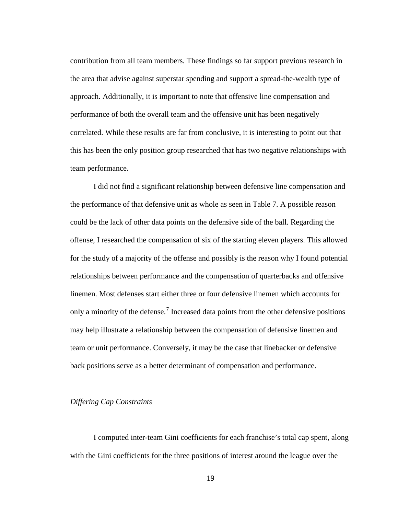contribution from all team members. These findings so far support previous research in the area that advise against superstar spending and support a spread-the-wealth type of approach. Additionally, it is important to note that offensive line compensation and performance of both the overall team and the offensive unit has been negatively correlated. While these results are far from conclusive, it is interesting to point out that this has been the only position group researched that has two negative relationships with team performance.

I did not find a significant relationship between defensive line compensation and the performance of that defensive unit as whole as seen in Table 7. A possible reason could be the lack of other data points on the defensive side of the ball. Regarding the offense, I researched the compensation of six of the starting eleven players. This allowed for the study of a majority of the offense and possibly is the reason why I found potential relationships between performance and the compensation of quarterbacks and offensive linemen. Most defenses start either three or four defensive linemen which accounts for only a minority of the defense.<sup>[7](#page-44-6)</sup> Increased data points from the other defensive positions may help illustrate a relationship between the compensation of defensive linemen and team or unit performance. Conversely, it may be the case that linebacker or defensive back positions serve as a better determinant of compensation and performance.

## *Differing Cap Constraints*

I computed inter-team Gini coefficients for each franchise's total cap spent, along with the Gini coefficients for the three positions of interest around the league over the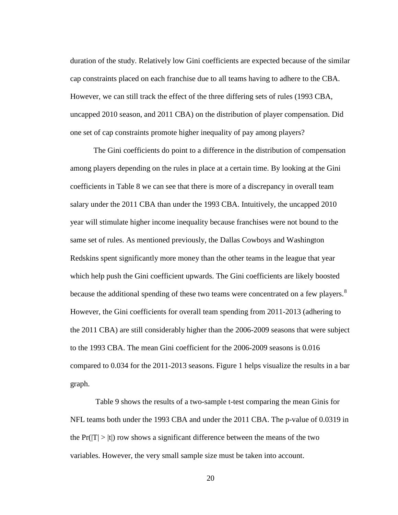duration of the study. Relatively low Gini coefficients are expected because of the similar cap constraints placed on each franchise due to all teams having to adhere to the CBA. However, we can still track the effect of the three differing sets of rules (1993 CBA, uncapped 2010 season, and 2011 CBA) on the distribution of player compensation. Did one set of cap constraints promote higher inequality of pay among players?

The Gini coefficients do point to a difference in the distribution of compensation among players depending on the rules in place at a certain time. By looking at the Gini coefficients in Table 8 we can see that there is more of a discrepancy in overall team salary under the 2011 CBA than under the 1993 CBA. Intuitively, the uncapped 2010 year will stimulate higher income inequality because franchises were not bound to the same set of rules. As mentioned previously, the Dallas Cowboys and Washington Redskins spent significantly more money than the other teams in the league that year which help push the Gini coefficient upwards. The Gini coefficients are likely boosted because the additional spending of these two teams were concentrated on a few players.<sup>[8](#page-44-7)</sup> However, the Gini coefficients for overall team spending from 2011-2013 (adhering to the 2011 CBA) are still considerably higher than the 2006-2009 seasons that were subject to the 1993 CBA. The mean Gini coefficient for the 2006-2009 seasons is 0.016 compared to 0.034 for the 2011-2013 seasons. Figure 1 helps visualize the results in a bar graph.

Table 9 shows the results of a two-sample t-test comparing the mean Ginis for NFL teams both under the 1993 CBA and under the 2011 CBA. The p-value of 0.0319 in the  $Pr(|T| > |t|)$  row shows a significant difference between the means of the two variables. However, the very small sample size must be taken into account.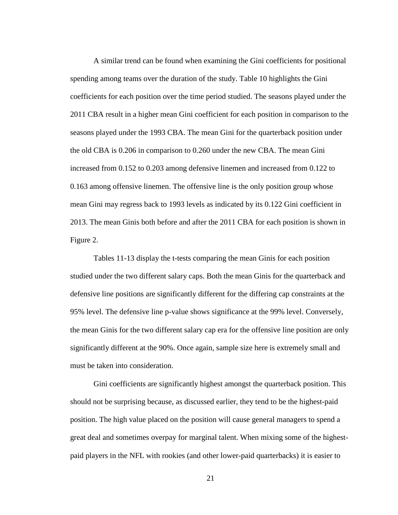A similar trend can be found when examining the Gini coefficients for positional spending among teams over the duration of the study. Table 10 highlights the Gini coefficients for each position over the time period studied. The seasons played under the 2011 CBA result in a higher mean Gini coefficient for each position in comparison to the seasons played under the 1993 CBA. The mean Gini for the quarterback position under the old CBA is 0.206 in comparison to 0.260 under the new CBA. The mean Gini increased from 0.152 to 0.203 among defensive linemen and increased from 0.122 to 0.163 among offensive linemen. The offensive line is the only position group whose mean Gini may regress back to 1993 levels as indicated by its 0.122 Gini coefficient in 2013. The mean Ginis both before and after the 2011 CBA for each position is shown in Figure 2.

Tables 11-13 display the t-tests comparing the mean Ginis for each position studied under the two different salary caps. Both the mean Ginis for the quarterback and defensive line positions are significantly different for the differing cap constraints at the 95% level. The defensive line p-value shows significance at the 99% level. Conversely, the mean Ginis for the two different salary cap era for the offensive line position are only significantly different at the 90%. Once again, sample size here is extremely small and must be taken into consideration.

Gini coefficients are significantly highest amongst the quarterback position. This should not be surprising because, as discussed earlier, they tend to be the highest-paid position. The high value placed on the position will cause general managers to spend a great deal and sometimes overpay for marginal talent. When mixing some of the highestpaid players in the NFL with rookies (and other lower-paid quarterbacks) it is easier to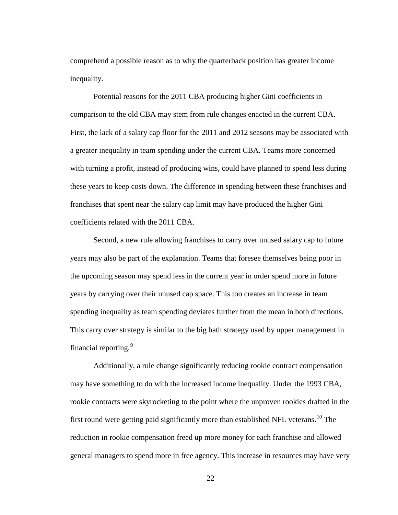comprehend a possible reason as to why the quarterback position has greater income inequality.

Potential reasons for the 2011 CBA producing higher Gini coefficients in comparison to the old CBA may stem from rule changes enacted in the current CBA. First, the lack of a salary cap floor for the 2011 and 2012 seasons may be associated with a greater inequality in team spending under the current CBA. Teams more concerned with turning a profit, instead of producing wins, could have planned to spend less during these years to keep costs down. The difference in spending between these franchises and franchises that spent near the salary cap limit may have produced the higher Gini coefficients related with the 2011 CBA.

Second, a new rule allowing franchises to carry over unused salary cap to future years may also be part of the explanation. Teams that foresee themselves being poor in the upcoming season may spend less in the current year in order spend more in future years by carrying over their unused cap space. This too creates an increase in team spending inequality as team spending deviates further from the mean in both directions. This carry over strategy is similar to the big bath strategy used by upper management in financial reporting.<sup>[9](#page-44-8)</sup>

Additionally, a rule change significantly reducing rookie contract compensation may have something to do with the increased income inequality. Under the 1993 CBA, rookie contracts were skyrocketing to the point where the unproven rookies drafted in the first round were getting paid significantly more than established NFL veterans.<sup>[10](#page-44-9)</sup> The reduction in rookie compensation freed up more money for each franchise and allowed general managers to spend more in free agency. This increase in resources may have very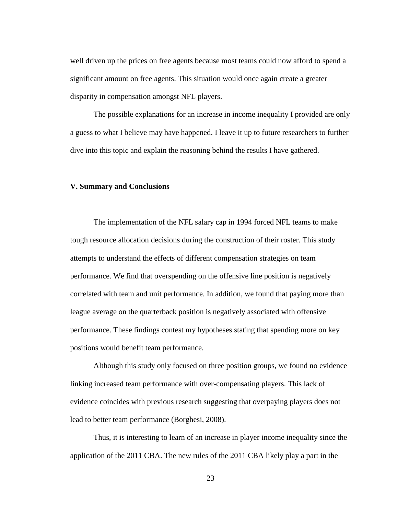well driven up the prices on free agents because most teams could now afford to spend a significant amount on free agents. This situation would once again create a greater disparity in compensation amongst NFL players.

The possible explanations for an increase in income inequality I provided are only a guess to what I believe may have happened. I leave it up to future researchers to further dive into this topic and explain the reasoning behind the results I have gathered.

#### **V. Summary and Conclusions**

The implementation of the NFL salary cap in 1994 forced NFL teams to make tough resource allocation decisions during the construction of their roster. This study attempts to understand the effects of different compensation strategies on team performance. We find that overspending on the offensive line position is negatively correlated with team and unit performance. In addition, we found that paying more than league average on the quarterback position is negatively associated with offensive performance. These findings contest my hypotheses stating that spending more on key positions would benefit team performance.

Although this study only focused on three position groups, we found no evidence linking increased team performance with over-compensating players. This lack of evidence coincides with previous research suggesting that overpaying players does not lead to better team performance (Borghesi, 2008).

Thus, it is interesting to learn of an increase in player income inequality since the application of the 2011 CBA. The new rules of the 2011 CBA likely play a part in the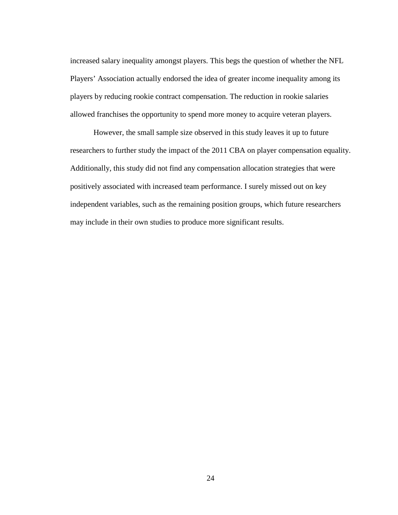increased salary inequality amongst players. This begs the question of whether the NFL Players' Association actually endorsed the idea of greater income inequality among its players by reducing rookie contract compensation. The reduction in rookie salaries allowed franchises the opportunity to spend more money to acquire veteran players.

However, the small sample size observed in this study leaves it up to future researchers to further study the impact of the 2011 CBA on player compensation equality. Additionally, this study did not find any compensation allocation strategies that were positively associated with increased team performance. I surely missed out on key independent variables, such as the remaining position groups, which future researchers may include in their own studies to produce more significant results.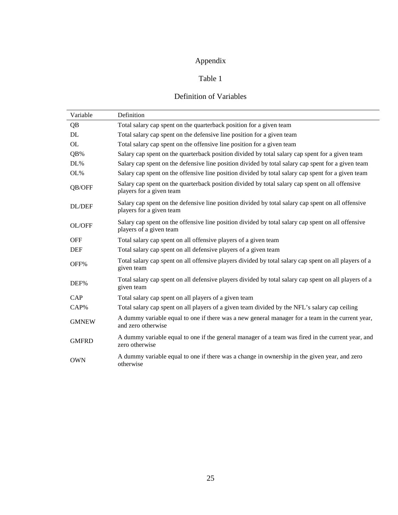# Appendix

# Table 1

# Definition of Variables

| Variable     | Definition                                                                                                                     |
|--------------|--------------------------------------------------------------------------------------------------------------------------------|
| QB           | Total salary cap spent on the quarterback position for a given team                                                            |
| DL.          | Total salary cap spent on the defensive line position for a given team                                                         |
| OL           | Total salary cap spent on the offensive line position for a given team                                                         |
| QB%          | Salary cap spent on the quarterback position divided by total salary cap spent for a given team                                |
| DL%          | Salary cap spent on the defensive line position divided by total salary cap spent for a given team                             |
| OL%          | Salary cap spent on the offensive line position divided by total salary cap spent for a given team                             |
| QB/OFF       | Salary cap spent on the quarterback position divided by total salary cap spent on all offensive<br>players for a given team    |
| DL/DEF       | Salary cap spent on the defensive line position divided by total salary cap spent on all offensive<br>players for a given team |
| OL/OFF       | Salary cap spent on the offensive line position divided by total salary cap spent on all offensive<br>players of a given team  |
| <b>OFF</b>   | Total salary cap spent on all offensive players of a given team                                                                |
| <b>DEF</b>   | Total salary cap spent on all defensive players of a given team                                                                |
| OFF%         | Total salary cap spent on all offensive players divided by total salary cap spent on all players of a<br>given team            |
| DEF%         | Total salary cap spent on all defensive players divided by total salary cap spent on all players of a<br>given team            |
| CAP          | Total salary cap spent on all players of a given team                                                                          |
| CAP%         | Total salary cap spent on all players of a given team divided by the NFL's salary cap ceiling                                  |
| <b>GMNEW</b> | A dummy variable equal to one if there was a new general manager for a team in the current year,<br>and zero otherwise         |
| <b>GMFRD</b> | A dummy variable equal to one if the general manager of a team was fired in the current year, and<br>zero otherwise            |
| <b>OWN</b>   | A dummy variable equal to one if there was a change in ownership in the given year, and zero<br>otherwise                      |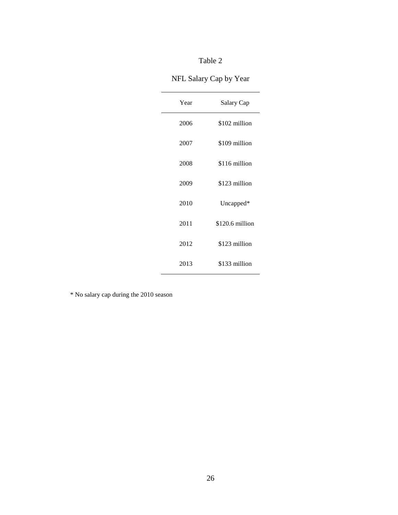# NFL Salary Cap by Year

| Year | Salary Cap      |  |  |
|------|-----------------|--|--|
| 2006 | \$102 million   |  |  |
| 2007 | \$109 million   |  |  |
| 2008 | \$116 million   |  |  |
| 2009 | \$123 million   |  |  |
| 2010 | Uncapped*       |  |  |
| 2011 | \$120.6 million |  |  |
| 2012 | \$123 million   |  |  |
| 2013 | \$133 million   |  |  |

\* No salary cap during the 2010 season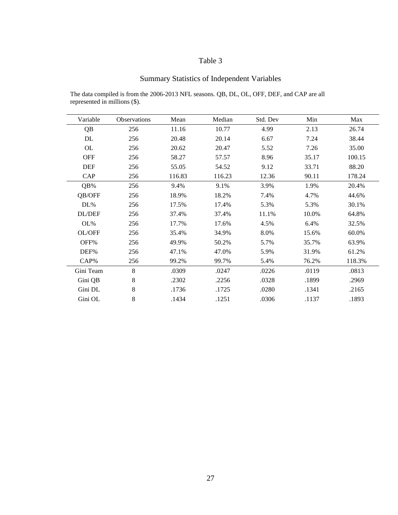# Summary Statistics of Independent Variables

The data compiled is from the 2006-2013 NFL seasons. QB, DL, OL, OFF, DEF, and CAP are all represented in millions (\$).

| Variable   | <b>Observations</b> | Mean   | Median | Std. Dev | Min   | Max    |
|------------|---------------------|--------|--------|----------|-------|--------|
| QB         | 256                 | 11.16  | 10.77  | 4.99     | 2.13  | 26.74  |
| DL         | 256                 | 20.48  | 20.14  | 6.67     | 7.24  | 38.44  |
| OL         | 256                 | 20.62  | 20.47  | 5.52     | 7.26  | 35.00  |
| <b>OFF</b> | 256                 | 58.27  | 57.57  | 8.96     | 35.17 | 100.15 |
| <b>DEF</b> | 256                 | 55.05  | 54.52  | 9.12     | 33.71 | 88.20  |
| CAP        | 256                 | 116.83 | 116.23 | 12.36    | 90.11 | 178.24 |
| QB%        | 256                 | 9.4%   | 9.1%   | 3.9%     | 1.9%  | 20.4%  |
| QB/OFF     | 256                 | 18.9%  | 18.2%  | 7.4%     | 4.7%  | 44.6%  |
| DL%        | 256                 | 17.5%  | 17.4%  | 5.3%     | 5.3%  | 30.1%  |
| DL/DEF     | 256                 | 37.4%  | 37.4%  | 11.1%    | 10.0% | 64.8%  |
| OL%        | 256                 | 17.7%  | 17.6%  | 4.5%     | 6.4%  | 32.5%  |
| OL/OFF     | 256                 | 35.4%  | 34.9%  | 8.0%     | 15.6% | 60.0%  |
| OFF%       | 256                 | 49.9%  | 50.2%  | 5.7%     | 35.7% | 63.9%  |
| DEF%       | 256                 | 47.1%  | 47.0%  | 5.9%     | 31.9% | 61.2%  |
| $CAP\%$    | 256                 | 99.2%  | 99.7%  | 5.4%     | 76.2% | 118.3% |
| Gini Team  | 8                   | .0309  | .0247  | .0226    | .0119 | .0813  |
| Gini QB    | 8                   | .2302  | .2256  | .0328    | .1899 | .2969  |
| Gini DL    | 8                   | .1736  | .1725  | .0280    | .1341 | .2165  |
| Gini OL    | $8\,$               | .1434  | .1251  | .0306    | .1137 | .1893  |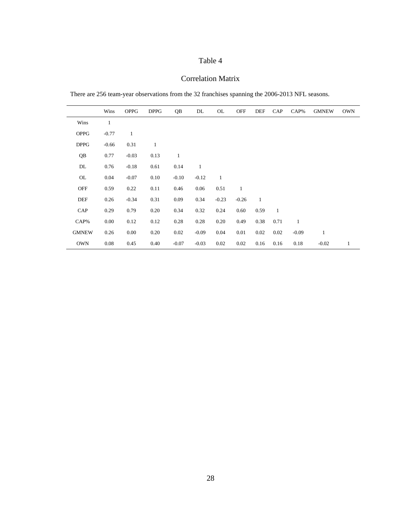# Correlation Matrix

There are 256 team-year observations from the 32 franchises spanning the 2006-2013 NFL seasons.

|              | Wins    | <b>OPPG</b>  | <b>DPPG</b>  | QB           | DL           | OL           | <b>OFF</b>   | DEF          | CAP          | CAP%         | <b>GMNEW</b> | <b>OWN</b>   |
|--------------|---------|--------------|--------------|--------------|--------------|--------------|--------------|--------------|--------------|--------------|--------------|--------------|
| Wins         | 1       |              |              |              |              |              |              |              |              |              |              |              |
| <b>OPPG</b>  | $-0.77$ | $\mathbf{1}$ |              |              |              |              |              |              |              |              |              |              |
| <b>DPPG</b>  | $-0.66$ | 0.31         | $\mathbf{1}$ |              |              |              |              |              |              |              |              |              |
| QB           | 0.77    | $-0.03$      | 0.13         | $\mathbf{1}$ |              |              |              |              |              |              |              |              |
| DL           | 0.76    | $-0.18$      | 0.61         | 0.14         | $\mathbf{1}$ |              |              |              |              |              |              |              |
| OL           | 0.04    | $-0.07$      | 0.10         | $-0.10$      | $-0.12$      | $\mathbf{1}$ |              |              |              |              |              |              |
| <b>OFF</b>   | 0.59    | 0.22         | 0.11         | 0.46         | 0.06         | 0.51         | $\mathbf{1}$ |              |              |              |              |              |
| DEF          | 0.26    | $-0.34$      | 0.31         | 0.09         | 0.34         | $-0.23$      | $-0.26$      | $\mathbf{1}$ |              |              |              |              |
| CAP          | 0.29    | 0.79         | 0.20         | 0.34         | 0.32         | 0.24         | 0.60         | 0.59         | $\mathbf{1}$ |              |              |              |
| CAP%         | 0.00    | 0.12         | 0.12         | 0.28         | 0.28         | 0.20         | 0.49         | 0.38         | 0.71         | $\mathbf{1}$ |              |              |
| <b>GMNEW</b> | 0.26    | 0.00         | 0.20         | 0.02         | $-0.09$      | 0.04         | 0.01         | 0.02         | 0.02         | $-0.09$      | $\mathbf{1}$ |              |
| <b>OWN</b>   | 0.08    | 0.45         | 0.40         | $-0.07$      | $-0.03$      | 0.02         | 0.02         | 0.16         | 0.16         | 0.18         | $-0.02$      | $\mathbf{1}$ |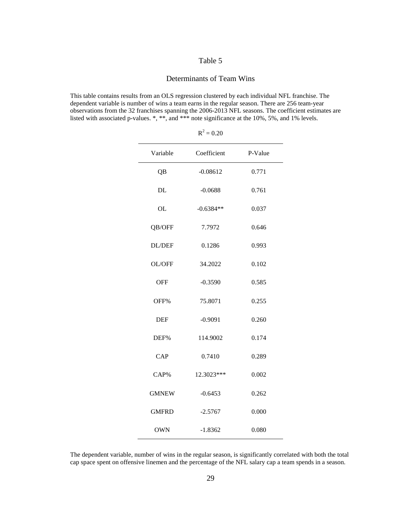#### Determinants of Team Wins

This table contains results from an OLS regression clustered by each individual NFL franchise. The dependent variable is number of wins a team earns in the regular season. There are 256 team-year observations from the 32 franchises spanning the 2006-2013 NFL seasons. The coefficient estimates are listed with associated p-values. \*, \*\*, and \*\*\* note significance at the 10%, 5%, and 1% levels.

| Variable     | Coefficient | P-Value |
|--------------|-------------|---------|
| QB           | $-0.08612$  | 0.771   |
| DL           | $-0.0688$   | 0.761   |
| <b>OL</b>    | $-0.6384**$ | 0.037   |
| QB/OFF       | 7.7972      | 0.646   |
| DL/DEF       | 0.1286      | 0.993   |
| OL/OFF       | 34.2022     | 0.102   |
| <b>OFF</b>   | $-0.3590$   | 0.585   |
| OFF%         | 75.8071     | 0.255   |
| <b>DEF</b>   | $-0.9091$   | 0.260   |
| DEF%         | 114.9002    | 0.174   |
| CAP          | 0.7410      | 0.289   |
| CAP%         | 12.3023***  | 0.002   |
| <b>GMNEW</b> | $-0.6453$   | 0.262   |
| <b>GMFRD</b> | $-2.5767$   | 0.000   |
| <b>OWN</b>   | $-1.8362$   | 0.080   |

 $R^2 = 0.20$ 

The dependent variable, number of wins in the regular season, is significantly correlated with both the total cap space spent on offensive linemen and the percentage of the NFL salary cap a team spends in a season.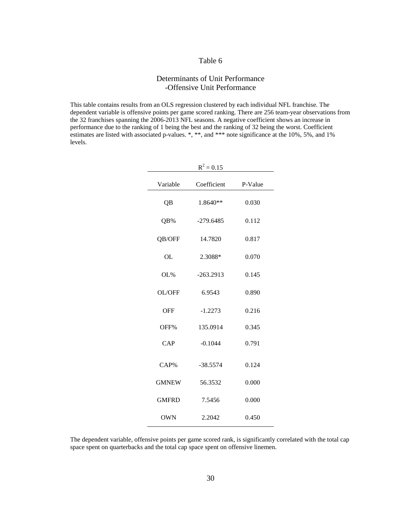# Determinants of Unit Performance -Offensive Unit Performance

This table contains results from an OLS regression clustered by each individual NFL franchise. The dependent variable is offensive points per game scored ranking. There are 256 team-year observations from the 32 franchises spanning the 2006-2013 NFL seasons. A negative coefficient shows an increase in performance due to the ranking of 1 being the best and the ranking of 32 being the worst. Coefficient estimates are listed with associated p-values. \*, \*\*, and \*\*\* note significance at the 10%, 5%, and 1% levels.

| $R^2 = 0.15$ |             |         |  |  |  |  |
|--------------|-------------|---------|--|--|--|--|
| Variable     | Coefficient | P-Value |  |  |  |  |
| QB           | $1.8640**$  | 0.030   |  |  |  |  |
| QB%          | $-279.6485$ | 0.112   |  |  |  |  |
| QB/OFF       | 14.7820     | 0.817   |  |  |  |  |
| OL           | 2.3088*     | 0.070   |  |  |  |  |
| OL%          | $-263.2913$ | 0.145   |  |  |  |  |
| OL/OFF       | 6.9543      | 0.890   |  |  |  |  |
| <b>OFF</b>   | $-1.2273$   | 0.216   |  |  |  |  |
| OFF%         | 135.0914    | 0.345   |  |  |  |  |
| CAP          | $-0.1044$   | 0.791   |  |  |  |  |
| CAP%         | $-38.5574$  | 0.124   |  |  |  |  |
| <b>GMNEW</b> | 56.3532     | 0.000   |  |  |  |  |
| <b>GMFRD</b> | 7.5456      | 0.000   |  |  |  |  |
| <b>OWN</b>   | 2.2042      | 0.450   |  |  |  |  |

The dependent variable, offensive points per game scored rank, is significantly correlated with the total cap space spent on quarterbacks and the total cap space spent on offensive linemen.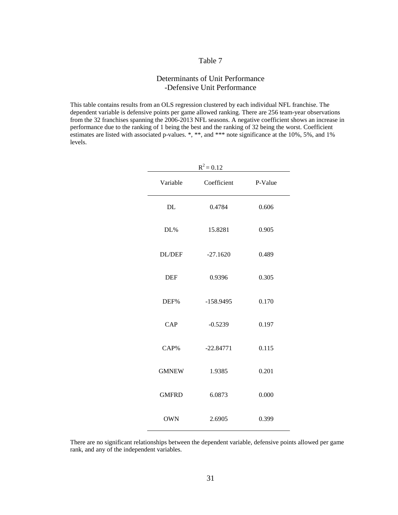# Determinants of Unit Performance -Defensive Unit Performance

This table contains results from an OLS regression clustered by each individual NFL franchise. The dependent variable is defensive points per game allowed ranking. There are 256 team-year observations from the 32 franchises spanning the 2006-2013 NFL seasons. A negative coefficient shows an increase in performance due to the ranking of 1 being the best and the ranking of 32 being the worst. Coefficient estimates are listed with associated p-values. \*, \*\*, and \*\*\* note significance at the 10%, 5%, and 1% levels.

| $R^2 = 0.12$  |             |         |  |  |  |  |
|---------------|-------------|---------|--|--|--|--|
| Variable      | Coefficient | P-Value |  |  |  |  |
| DL            | 0.4784      | 0.606   |  |  |  |  |
| DL%           | 15.8281     | 0.905   |  |  |  |  |
| <b>DL/DEF</b> | $-27.1620$  | 0.489   |  |  |  |  |
| <b>DEF</b>    | 0.9396      | 0.305   |  |  |  |  |
| DEF%          | $-158.9495$ | 0.170   |  |  |  |  |
| CAP           | $-0.5239$   | 0.197   |  |  |  |  |
| CAP%          | $-22.84771$ | 0.115   |  |  |  |  |
| <b>GMNEW</b>  | 1.9385      | 0.201   |  |  |  |  |
| <b>GMFRD</b>  | 6.0873      | 0.000   |  |  |  |  |
| <b>OWN</b>    | 2.6905      | 0.399   |  |  |  |  |

There are no significant relationships between the dependent variable, defensive points allowed per game rank, and any of the independent variables.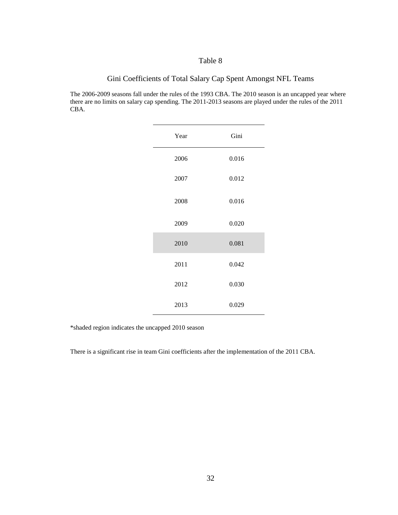# Gini Coefficients of Total Salary Cap Spent Amongst NFL Teams

The 2006-2009 seasons fall under the rules of the 1993 CBA. The 2010 season is an uncapped year where there are no limits on salary cap spending. The 2011-2013 seasons are played under the rules of the 2011 CBA.

| Year         | Gini  |
|--------------|-------|
| 2006         | 0.016 |
| 2007<br>2008 | 0.012 |
|              | 0.016 |
| 2009         | 0.020 |
| 2010         | 0.081 |
| 2011         | 0.042 |
| 2012         | 0.030 |
| 2013         | 0.029 |

\*shaded region indicates the uncapped 2010 season

There is a significant rise in team Gini coefficients after the implementation of the 2011 CBA.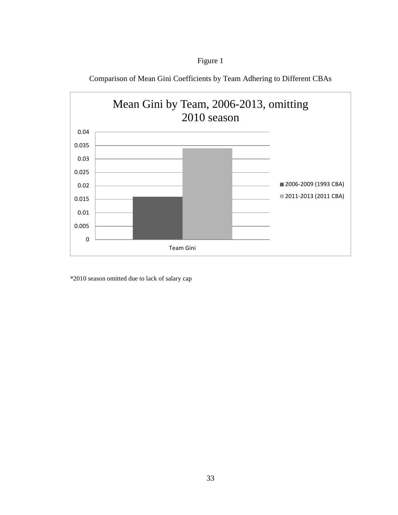

Comparison of Mean Gini Coefficients by Team Adhering to Different CBAs

Figure 1

\*2010 season omitted due to lack of salary cap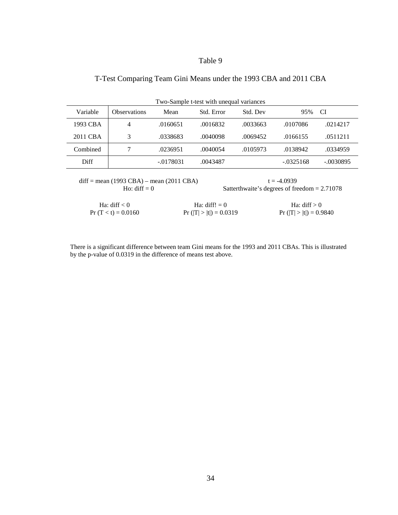# T-Test Comparing Team Gini Means under the 1993 CBA and 2011 CBA

| Two-Sample t-test with unequal variances |                     |             |            |          |             |             |
|------------------------------------------|---------------------|-------------|------------|----------|-------------|-------------|
| Variable                                 | <b>Observations</b> | Mean        | Std. Error | Std. Dev | 95%         | CI          |
| 1993 CBA                                 | 4                   | .0160651    | .0016832   | .0033663 | .0107086    | .0214217    |
| 2011 CBA                                 | 3                   | .0338683    | .0040098   | .0069452 | .0166155    | .0511211    |
| Combined                                 |                     | .0236951    | .0040054   | .0105973 | .0138942    | .0334959    |
| Diff                                     |                     | $-.0178031$ | .0043487   |          | $-.0325168$ | $-.0030895$ |

diff = mean (1993 CBA) – mean (2011 CBA) t = -4.0939

Ho: diff  $= 0$  Satterthwaite's degrees of freedom  $= 2.71078$ 

| Ha: diff $< 0$       | Ha: diff! $= 0$          | Ha: diff $> 0$           |
|----------------------|--------------------------|--------------------------|
| $Pr(T < t) = 0.0160$ | $Pr( T  >  t ) = 0.0319$ | $Pr( T  >  t ) = 0.9840$ |

There is a significant difference between team Gini means for the 1993 and 2011 CBAs. This is illustrated by the p-value of 0.0319 in the difference of means test above.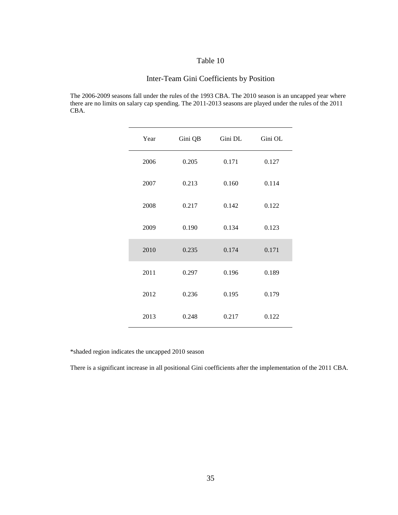# Inter-Team Gini Coefficients by Position

The 2006-2009 seasons fall under the rules of the 1993 CBA. The 2010 season is an uncapped year where there are no limits on salary cap spending. The 2011-2013 seasons are played under the rules of the 2011 CBA.

| Year | Gini QB | Gini DL | Gini OL |
|------|---------|---------|---------|
| 2006 | 0.205   | 0.171   | 0.127   |
| 2007 | 0.213   | 0.160   | 0.114   |
| 2008 | 0.217   | 0.142   | 0.122   |
| 2009 | 0.190   | 0.134   | 0.123   |
| 2010 | 0.235   | 0.174   | 0.171   |
| 2011 | 0.297   | 0.196   | 0.189   |
| 2012 | 0.236   | 0.195   | 0.179   |
| 2013 | 0.248   | 0.217   | 0.122   |

\*shaded region indicates the uncapped 2010 season

There is a significant increase in all positional Gini coefficients after the implementation of the 2011 CBA.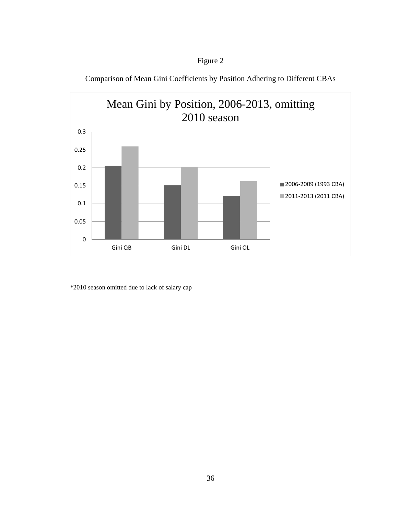

Comparison of Mean Gini Coefficients by Position Adhering to Different CBAs



\*2010 season omitted due to lack of salary cap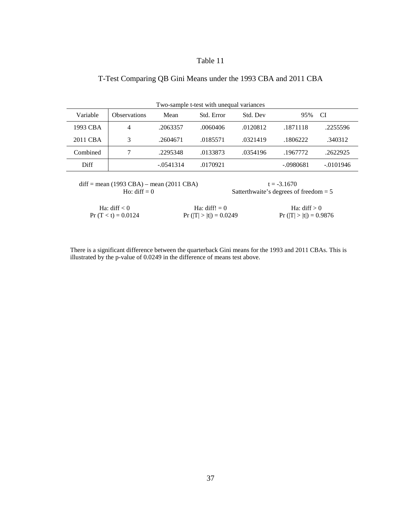# T-Test Comparing QB Gini Means under the 1993 CBA and 2011 CBA

| Two-sample t-test with unequal variances |                     |             |            |          |           |             |
|------------------------------------------|---------------------|-------------|------------|----------|-----------|-------------|
| Variable                                 | <b>Observations</b> | Mean        | Std. Error | Std. Dev | 95%       | CI          |
| 1993 CBA                                 | 4                   | .2063357    | .0060406   | .0120812 | .1871118  | .2255596    |
| 2011 CBA                                 | 3                   | .2604671    | .0185571   | .0321419 | .1806222  | .340312     |
| Combined                                 |                     | .2295348    | .0133873   | .0354196 | .1967772  | .2622925    |
| Diff                                     |                     | $-.0541314$ | .0170921   |          | -.0980681 | $-.0101946$ |

diff = mean (1993 CBA) – mean (2011 CBA) t = -3.1670<br>Ho: diff = 0 Satterthwaite's degrees of

Satterthwaite's degrees of freedom  $= 5$ 

| Ha: diff $< 0$       | Ha: $diff! = 0$          | Ha: diff $> 0$           |
|----------------------|--------------------------|--------------------------|
| $Pr(T < t) = 0.0124$ | $Pr( T  >  t ) = 0.0249$ | $Pr( T  >  t ) = 0.9876$ |

There is a significant difference between the quarterback Gini means for the 1993 and 2011 CBAs. This is illustrated by the p-value of 0.0249 in the difference of means test above.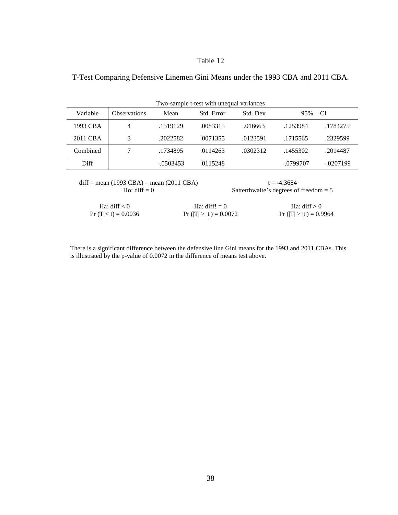| T-Test Comparing Defensive Linemen Gini Means under the 1993 CBA and 2011 CBA. |  |  |  |  |
|--------------------------------------------------------------------------------|--|--|--|--|
|                                                                                |  |  |  |  |

| Two-sample t-test with unequal variances |                     |             |            |          |             |             |
|------------------------------------------|---------------------|-------------|------------|----------|-------------|-------------|
| Variable                                 | <b>Observations</b> | Mean        | Std. Error | Std. Dev | 95%         | CI          |
| 1993 CBA                                 | 4                   | .1519129    | .0083315   | .016663  | .1253984    | .1784275    |
| 2011 CBA                                 | 3                   | .2022582    | .0071355   | .0123591 | .1715565    | .2329599    |
| Combined                                 | 7                   | .1734895    | .0114263   | .0302312 | .1455302    | .2014487    |
| Diff                                     |                     | $-.0503453$ | .0115248   |          | $-.0799707$ | $-.0207199$ |

diff = mean (1993 CBA) – mean (2011 CBA) t = -4.3684<br>Ho: diff = 0 Satterthwaite's degrees of

Satterthwaite's degrees of freedom  $= 5$ 

| Ha: diff $< 0$       | Ha: diff! $= 0$          | Ha: diff $> 0$           |
|----------------------|--------------------------|--------------------------|
| $Pr(T < t) = 0.0036$ | $Pr( T  >  t ) = 0.0072$ | $Pr( T  >  t ) = 0.9964$ |

There is a significant difference between the defensive line Gini means for the 1993 and 2011 CBAs. This is illustrated by the p-value of 0.0072 in the difference of means test above.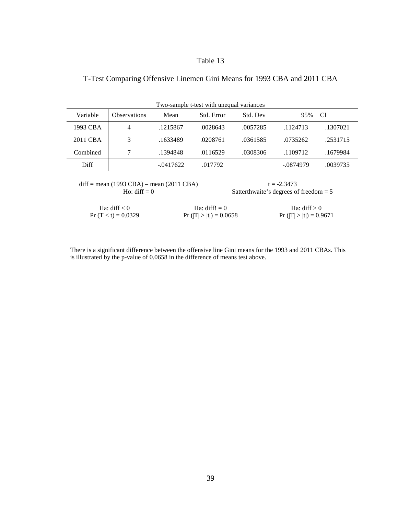# T-Test Comparing Offensive Linemen Gini Means for 1993 CBA and 2011 CBA

| Two-sample t-test with unequal variances |                     |             |            |          |           |          |
|------------------------------------------|---------------------|-------------|------------|----------|-----------|----------|
| Variable                                 | <b>Observations</b> | Mean        | Std. Error | Std. Dev | 95%       | CI       |
| 1993 CBA                                 | 4                   | .1215867    | .0028643   | .0057285 | .1124713  | .1307021 |
| 2011 CBA                                 | 3                   | .1633489    | .0208761   | .0361585 | .0735262  | .2531715 |
| Combined                                 |                     | .1394848    | .0116529   | .0308306 | .1109712  | .1679984 |
| Diff                                     |                     | $-.0417622$ | .017792    |          | -.0874979 | .0039735 |

diff = mean (1993 CBA) – mean (2011 CBA) t = -2.3473<br>Ho: diff = 0 Satterthwaite's degrees of

Satterthwaite's degrees of freedom  $= 5$ 

| Ha: diff $< 0$       | Ha: $diff! = 0$          | Ha: diff $> 0$           |
|----------------------|--------------------------|--------------------------|
| $Pr(T < t) = 0.0329$ | $Pr( T  >  t ) = 0.0658$ | $Pr( T  >  t ) = 0.9671$ |

There is a significant difference between the offensive line Gini means for the 1993 and 2011 CBAs. This is illustrated by the p-value of 0.0658 in the difference of means test above.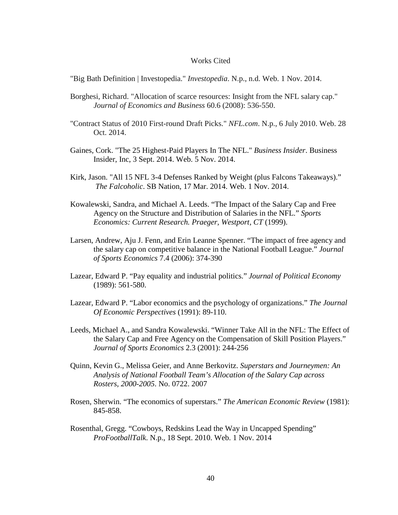#### Works Cited

"Big Bath Definition | Investopedia." *Investopedia*. N.p., n.d. Web. 1 Nov. 2014.

- Borghesi, Richard. "Allocation of scarce resources: Insight from the NFL salary cap." *Journal of Economics and Business* 60.6 (2008): 536-550.
- "Contract Status of 2010 First-round Draft Picks." *NFL.com*. N.p., 6 July 2010. Web. 28 Oct. 2014.
- Gaines, Cork. "The 25 Highest-Paid Players In The NFL." *Business Insider*. Business Insider, Inc, 3 Sept. 2014. Web. 5 Nov. 2014.
- Kirk, Jason. "All 15 NFL 3-4 Defenses Ranked by Weight (plus Falcons Takeaways)." *The Falcoholic*. SB Nation, 17 Mar. 2014. Web. 1 Nov. 2014.
- Kowalewski, Sandra, and Michael A. Leeds. "The Impact of the Salary Cap and Free Agency on the Structure and Distribution of Salaries in the NFL." *Sports Economics: Current Research. Praeger, Westport, CT* (1999).
- Larsen, Andrew, Aju J. Fenn, and Erin Leanne Spenner. "The impact of free agency and the salary cap on competitive balance in the National Football League." *Journal of Sports Economics* 7.4 (2006): 374-390
- Lazear, Edward P. "Pay equality and industrial politics." *Journal of Political Economy* (1989): 561-580.
- Lazear, Edward P. "Labor economics and the psychology of organizations." *The Journal Of Economic Perspectives* (1991): 89-110.
- Leeds, Michael A., and Sandra Kowalewski. "Winner Take All in the NFL: The Effect of the Salary Cap and Free Agency on the Compensation of Skill Position Players." *Journal of Sports Economics* 2.3 (2001): 244-256
- Quinn, Kevin G., Melissa Geier, and Anne Berkovitz. *Superstars and Journeymen: An Analysis of National Football Team's Allocation of the Salary Cap across Rosters, 2000-2005*. No. 0722. 2007
- Rosen, Sherwin. "The economics of superstars." *The American Economic Review* (1981): 845-858.
- Rosenthal, Gregg. "Cowboys, Redskins Lead the Way in Uncapped Spending" *ProFootballTalk*. N.p., 18 Sept. 2010. Web. 1 Nov. 2014